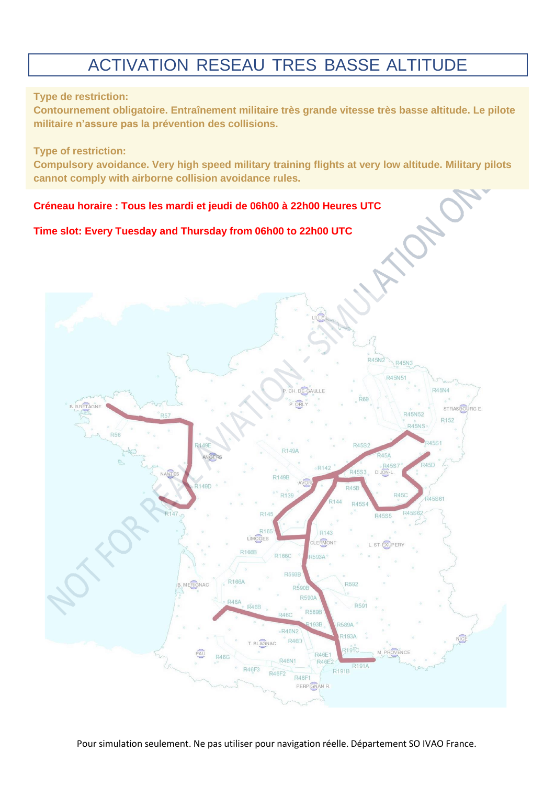# ACTIVATION RESEAU TRES BASSE ALTITUDE

# **Type de restriction:**

**Contournement obligatoire. Entraînement militaire très grande vitesse très basse altitude. Le pilote militaire n'assure pas la prévention des collisions.**

#### **Type of restriction:**

**Compulsory avoidance. Very high speed military training flights at very low altitude. Military pilots cannot comply with airborne collision avoidance rules.**

# **Créneau horaire : Tous les mardi et jeudi de 06h00 à 22h00 Heures UTC**

#### **Time slot: Every Tuesday and Thursday from 06h00 to 22h00 UTC**